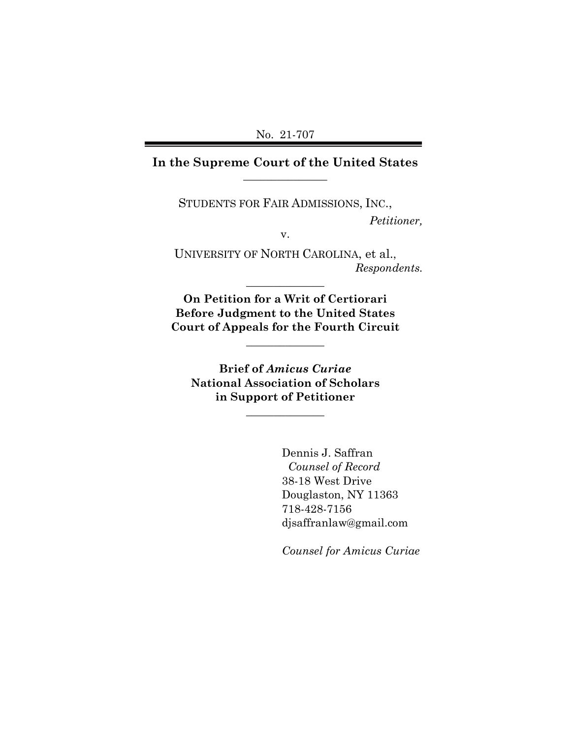### **In the Supreme Court of the United States \_\_\_\_\_\_\_\_\_\_\_\_\_\_\_**

STUDENTS FOR FAIR ADMISSIONS, INC.,

*Petitioner,*

v.

UNIVERSITY OF NORTH CAROLINA, et al., *Respondents.*

**On Petition for a Writ of Certiorari Before Judgment to the United States Court of Appeals for the Fourth Circuit**

**\_\_\_\_\_\_\_\_\_\_\_\_\_\_** 

**\_\_\_\_\_\_\_\_\_\_\_\_\_\_** 

**Brief of** *Amicus Curiae* **National Association of Scholars in Support of Petitioner**

**\_\_\_\_\_\_\_\_\_\_\_\_\_\_** 

Dennis J. Saffran *Counsel of Record* 38-18 West Drive Douglaston, NY 11363 718-428-7156 djsaffranlaw@gmail.com

*Counsel for Amicus Curiae*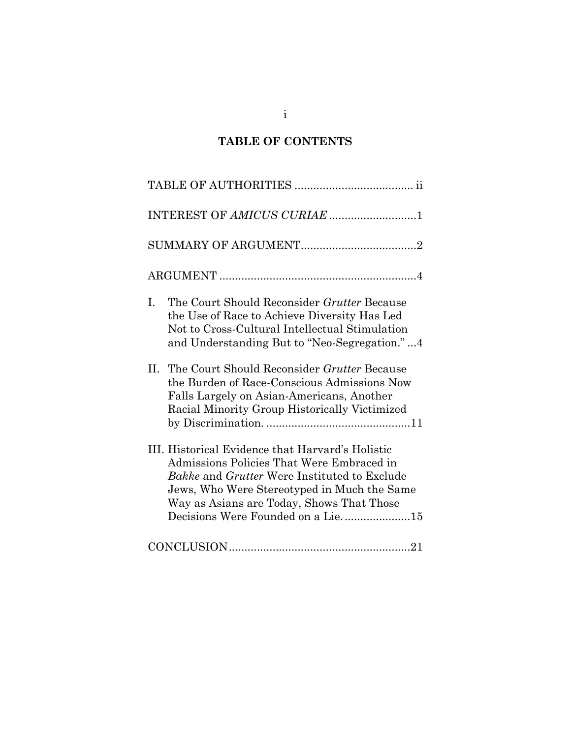## **TABLE OF CONTENTS**

<span id="page-1-0"></span>

| INTEREST OF AMICUS CURIAE 1                                                                                                                                                                                                                                                                  |
|----------------------------------------------------------------------------------------------------------------------------------------------------------------------------------------------------------------------------------------------------------------------------------------------|
|                                                                                                                                                                                                                                                                                              |
|                                                                                                                                                                                                                                                                                              |
| The Court Should Reconsider Grutter Because<br>I.<br>the Use of Race to Achieve Diversity Has Led<br>Not to Cross-Cultural Intellectual Stimulation<br>and Understanding But to "Neo-Segregation."4                                                                                          |
| II.<br>The Court Should Reconsider <i>Grutter</i> Because<br>the Burden of Race-Conscious Admissions Now<br>Falls Largely on Asian-Americans, Another<br>Racial Minority Group Historically Victimized                                                                                       |
| III. Historical Evidence that Harvard's Holistic<br>Admissions Policies That Were Embraced in<br><i>Bakke</i> and <i>Grutter</i> Were Instituted to Exclude<br>Jews, Who Were Stereotyped in Much the Same<br>Way as Asians are Today, Shows That Those<br>Decisions Were Founded on a Lie15 |
|                                                                                                                                                                                                                                                                                              |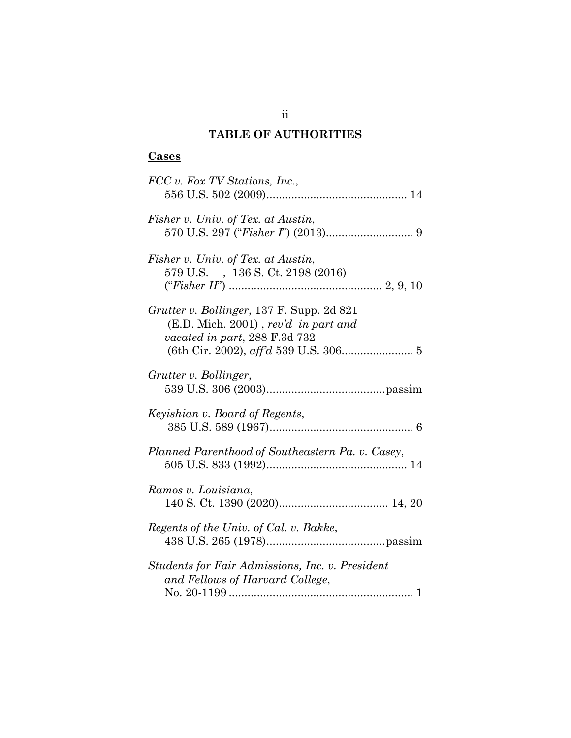## **TABLE OF AUTHORITIES**

# **Cases**

| FCC v. Fox TV Stations, Inc.,                                                                                        |
|----------------------------------------------------------------------------------------------------------------------|
| Fisher v. Univ. of Tex. at Austin,                                                                                   |
| Fisher v. Univ. of Tex. at Austin,<br>579 U.S. __, 136 S. Ct. 2198 (2016)                                            |
| Grutter v. Bollinger, 137 F. Supp. 2d 821<br>$(E.D.$ Mich. 2001), rev'd in part and<br>vacated in part, 288 F.3d 732 |
| Grutter v. Bollinger,                                                                                                |
| Keyishian v. Board of Regents,                                                                                       |
| Planned Parenthood of Southeastern Pa. v. Casey,                                                                     |
| Ramos v. Louisiana,                                                                                                  |
| Regents of the Univ. of Cal. v. Bakke,                                                                               |
| Students for Fair Admissions, Inc. v. President<br>and Fellows of Harvard College,                                   |

ii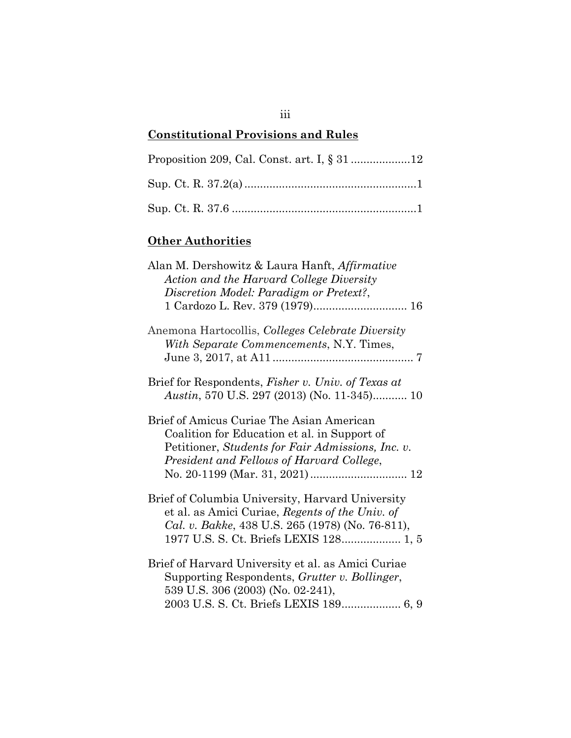# **Constitutional Provisions and Rules**

iii

## **Other Authorities**

| Alan M. Dershowitz & Laura Hanft, Affirmative<br>Action and the Harvard College Diversity<br>Discretion Model: Paradigm or Pretext?,                                                              |
|---------------------------------------------------------------------------------------------------------------------------------------------------------------------------------------------------|
| Anemona Hartocollis, Colleges Celebrate Diversity<br>With Separate Commencements, N.Y. Times,                                                                                                     |
| Brief for Respondents, <i>Fisher v. Univ. of Texas at</i><br>Austin, 570 U.S. 297 (2013) (No. 11-345) 10                                                                                          |
| Brief of Amicus Curiae The Asian American<br>Coalition for Education et al. in Support of<br>Petitioner, Students for Fair Admissions, Inc. v.<br>President and Fellows of Harvard College,       |
| Brief of Columbia University, Harvard University<br>et al. as Amici Curiae, Regents of the Univ. of<br>Cal. v. Bakke, 438 U.S. 265 (1978) (No. 76-811),<br>1977 U.S. S. Ct. Briefs LEXIS 128 1, 5 |
| Brief of Harvard University et al. as Amici Curiae<br>Supporting Respondents, Grutter v. Bollinger,<br>539 U.S. 306 (2003) (No. 02-241),                                                          |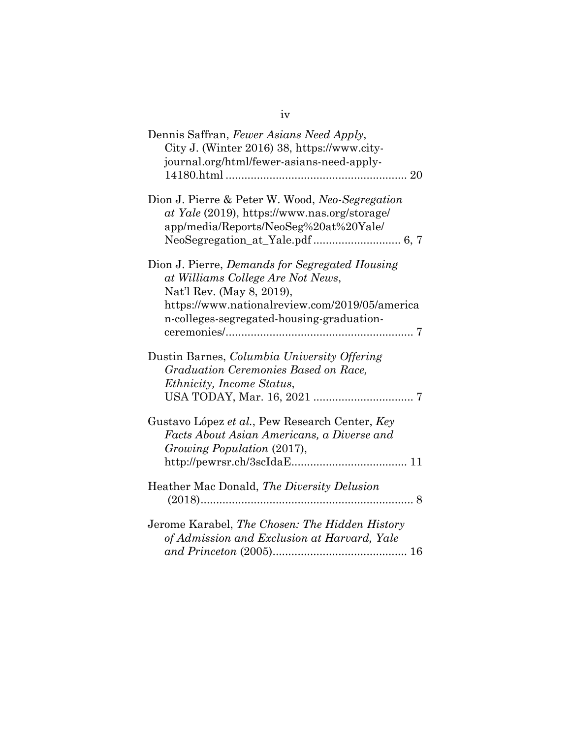| Dennis Saffran, Fewer Asians Need Apply,<br>City J. (Winter 2016) 38, https://www.city-<br>journal.org/html/fewer-asians-need-apply-                                                                                   |
|------------------------------------------------------------------------------------------------------------------------------------------------------------------------------------------------------------------------|
| Dion J. Pierre & Peter W. Wood, Neo-Segregation<br>at Yale (2019), https://www.nas.org/storage/<br>app/media/Reports/NeoSeg%20at%20Yale/                                                                               |
| Dion J. Pierre, <i>Demands for Segregated Housing</i><br>at Williams College Are Not News,<br>Nat'l Rev. (May 8, 2019),<br>https://www.nationalreview.com/2019/05/america<br>n-colleges-segregated-housing-graduation- |
| Dustin Barnes, Columbia University Offering<br>Graduation Ceremonies Based on Race,<br>Ethnicity, Income Status,<br>USA TODAY, Mar. 16, 2021<br>7                                                                      |
| Gustavo López et al., Pew Research Center, Key<br>Facts About Asian Americans, a Diverse and<br>Growing Population (2017),                                                                                             |
| Heather Mac Donald, The Diversity Delusion                                                                                                                                                                             |
| Jerome Karabel, The Chosen: The Hidden History<br>of Admission and Exclusion at Harvard, Yale                                                                                                                          |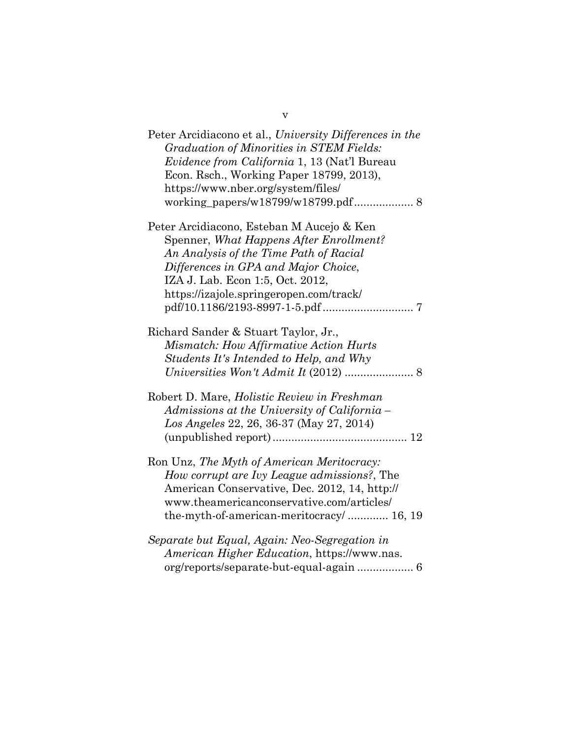| Peter Arcidiacono et al., University Differences in the<br><b>Graduation of Minorities in STEM Fields:</b><br>Evidence from California 1, 13 (Nat'l Bureau<br>Econ. Rsch., Working Paper 18799, 2013),<br>https://www.nber.org/system/files/          |
|-------------------------------------------------------------------------------------------------------------------------------------------------------------------------------------------------------------------------------------------------------|
| Peter Arcidiacono, Esteban M Aucejo & Ken<br>Spenner, What Happens After Enrollment?<br>An Analysis of the Time Path of Racial<br>Differences in GPA and Major Choice,<br>IZA J. Lab. Econ 1:5, Oct. 2012,<br>https://izajole.springeropen.com/track/ |
| Richard Sander & Stuart Taylor, Jr.,<br>Mismatch: How Affirmative Action Hurts<br>Students It's Intended to Help, and Why                                                                                                                             |
| Robert D. Mare, <i>Holistic Review in Freshman</i><br>Admissions at the University of California –<br>Los Angeles 22, 26, 36-37 (May 27, 2014)                                                                                                        |
| Ron Unz, The Myth of American Meritocracy:<br>How corrupt are Ivy League admissions?, The<br>American Conservative, Dec. 2012, 14, http://<br>www.theamericanconservative.com/articles/<br>the-myth-of-american-meritocracy/ 16, 19                   |
| Separate but Equal, Again: Neo-Segregation in<br>American Higher Education, https://www.nas.<br>org/reports/separate-but-equal-again  6                                                                                                               |

v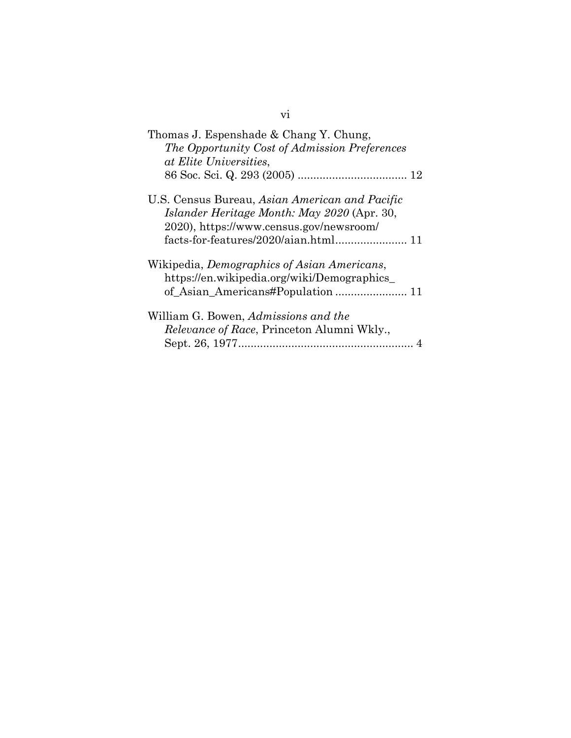| Thomas J. Espenshade & Chang Y. Chung,<br>The Opportunity Cost of Admission Preferences<br>at Elite Universities,                        |
|------------------------------------------------------------------------------------------------------------------------------------------|
| U.S. Census Bureau, Asian American and Pacific<br>Islander Heritage Month: May 2020 (Apr. 30,<br>2020), https://www.census.gov/newsroom/ |
| Wikipedia, <i>Demographics of Asian Americans</i> ,<br>https://en.wikipedia.org/wiki/Demographics<br>of Asian Americans#Population  11   |
| William G. Bowen, Admissions and the<br><i>Relevance of Race, Princeton Alumni Wkly.,</i>                                                |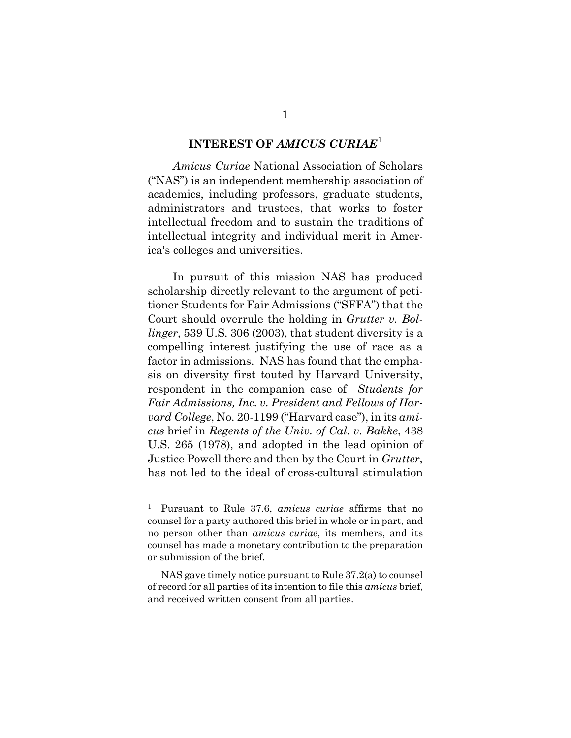#### <span id="page-7-0"></span>**INTEREST OF** *AMICUS CURIAE*[1](#page-7-1)

*Amicus Curiae* National Association of Scholars ("NAS") is an independent membership association of academics, including professors, graduate students, administrators and trustees, that works to foster intellectual freedom and to sustain the traditions of intellectual integrity and individual merit in America's colleges and universities.

In pursuit of this mission NAS has produced scholarship directly relevant to the argument of petitioner Students for Fair Admissions ("SFFA") that the Court should overrule the holding in *Grutter v. Bollinger*, 539 U.S. 306 (2003), that student diversity is a compelling interest justifying the use of race as a factor in admissions. NAS has found that the emphasis on diversity first touted by Harvard University, respondent in the companion case of *Students for Fair Admissions, Inc. v. President and Fellows of Harvard College*, No. 20-1199 ("Harvard case"), in its *amicus* brief in *Regents of the Univ. of Cal. v. Bakke*, 438 U.S. 265 (1978), and adopted in the lead opinion of Justice Powell there and then by the Court in *Grutter*, has not led to the ideal of cross-cultural stimulation

<span id="page-7-1"></span><sup>1</sup> Pursuant to Rule 37.6, *amicus curiae* affirms that no counsel for a party authored this brief in whole or in part, and no person other than *amicus curiae*, its members, and its counsel has made a monetary contribution to the preparation or submission of the brief.

NAS gave timely notice pursuant to Rule 37.2(a) to counsel of record for all parties of its intention to file this *amicus* brief, and received written consent from all parties.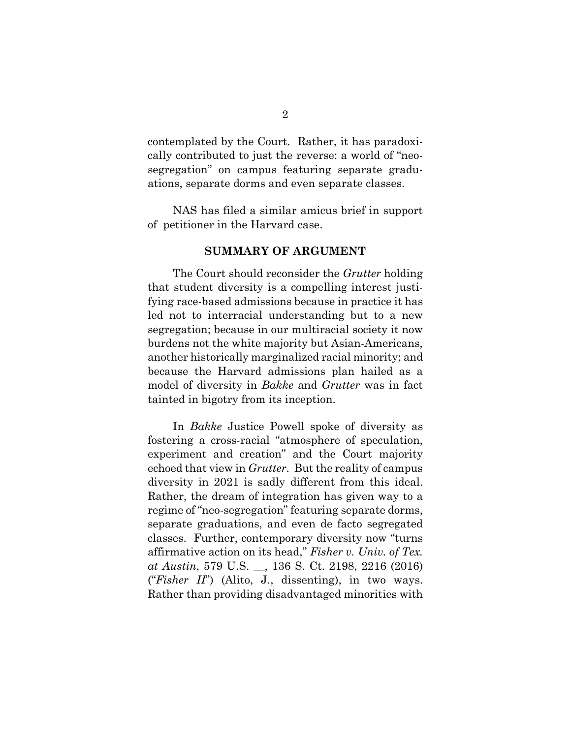contemplated by the Court. Rather, it has paradoxically contributed to just the reverse: a world of "neosegregation" on campus featuring separate graduations, separate dorms and even separate classes.

NAS has filed a similar amicus brief in support of petitioner in the Harvard case.

#### **SUMMARY OF ARGUMENT**

<span id="page-8-0"></span>The Court should reconsider the *Grutter* holding that student diversity is a compelling interest justifying race-based admissions because in practice it has led not to interracial understanding but to a new segregation; because in our multiracial society it now burdens not the white majority but Asian-Americans, another historically marginalized racial minority; and because the Harvard admissions plan hailed as a model of diversity in *Bakke* and *Grutter* was in fact tainted in bigotry from its inception.

In *Bakke* Justice Powell spoke of diversity as fostering a cross-racial "atmosphere of speculation, experiment and creation" and the Court majority echoed that view in *Grutter*. But the reality of campus diversity in 2021 is sadly different from this ideal. Rather, the dream of integration has given way to a regime of "neo-segregation" featuring separate dorms, separate graduations, and even de facto segregated classes. Further, contemporary diversity now "turns affirmative action on its head," *Fisher v. Univ. of Tex. at Austin*, 579 U.S. \_\_, 136 S. Ct. 2198, 2216 (2016) ("*Fisher II*") (Alito, J., dissenting), in two ways. Rather than providing disadvantaged minorities with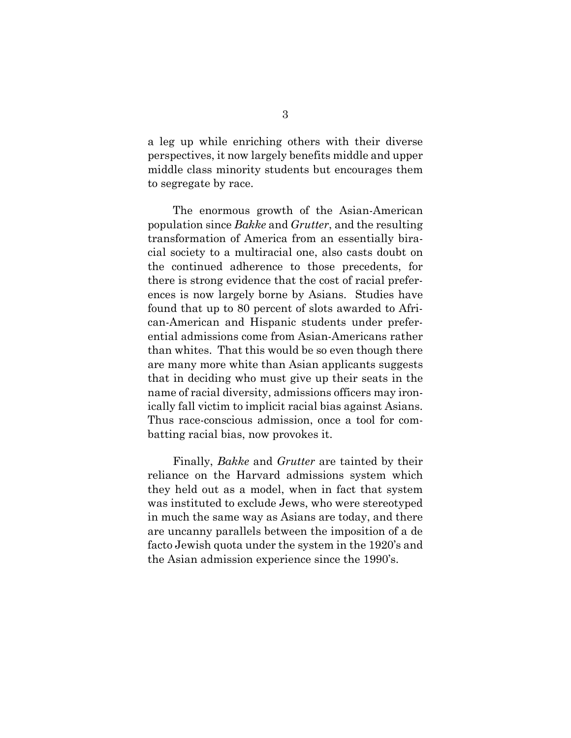a leg up while enriching others with their diverse perspectives, it now largely benefits middle and upper middle class minority students but encourages them to segregate by race.

The enormous growth of the Asian-American population since *Bakke* and *Grutter*, and the resulting transformation of America from an essentially biracial society to a multiracial one, also casts doubt on the continued adherence to those precedents, for there is strong evidence that the cost of racial preferences is now largely borne by Asians. Studies have found that up to 80 percent of slots awarded to African-American and Hispanic students under preferential admissions come from Asian-Americans rather than whites. That this would be so even though there are many more white than Asian applicants suggests that in deciding who must give up their seats in the name of racial diversity, admissions officers may ironically fall victim to implicit racial bias against Asians. Thus race-conscious admission, once a tool for combatting racial bias, now provokes it.

Finally, *Bakke* and *Grutter* are tainted by their reliance on the Harvard admissions system which they held out as a model, when in fact that system was instituted to exclude Jews, who were stereotyped in much the same way as Asians are today, and there are uncanny parallels between the imposition of a de facto Jewish quota under the system in the 1920's and the Asian admission experience since the 1990's.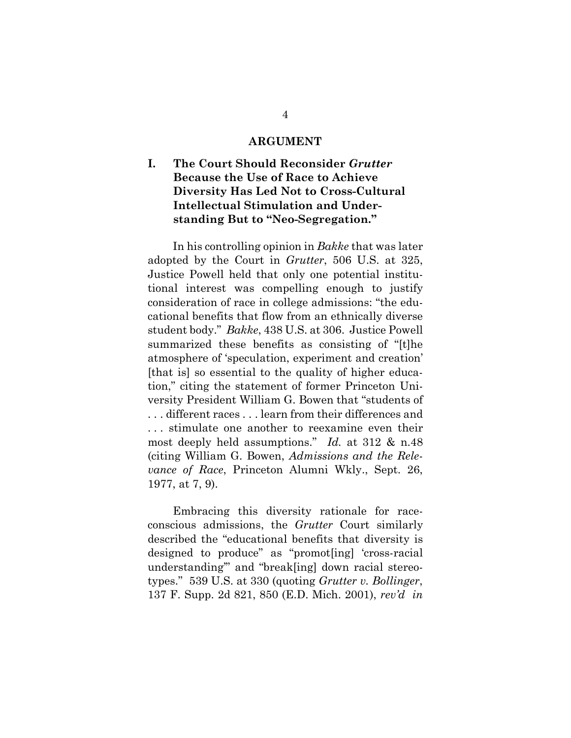#### **ARGUMENT**

## <span id="page-10-1"></span><span id="page-10-0"></span>**I. The Court Should Reconsider** *Grutter* **Because the Use of Race to Achieve Diversity Has Led Not to Cross-Cultural Intellectual Stimulation and Understanding But to "Neo-Segregation."**

In his controlling opinion in *Bakke* that was later adopted by the Court in *Grutter*, 506 U.S. at 325, Justice Powell held that only one potential institutional interest was compelling enough to justify consideration of race in college admissions: "the educational benefits that flow from an ethnically diverse student body." *Bakke*, 438 U.S. at 306. Justice Powell summarized these benefits as consisting of "[t]he atmosphere of 'speculation, experiment and creation' [that is] so essential to the quality of higher education," citing the statement of former Princeton University President William G. Bowen that "students of . . . different races . . . learn from their differences and . . . stimulate one another to reexamine even their most deeply held assumptions." *Id.* at 312 & n.48 (citing William G. Bowen, *Admissions and the Relevance of Race*, Princeton Alumni Wkly., Sept. 26, 1977, at 7, 9).

Embracing this diversity rationale for raceconscious admissions, the *Grutter* Court similarly described the "educational benefits that diversity is designed to produce" as "promot[ing] 'cross-racial understanding'" and "break[ing] down racial stereotypes." 539 U.S. at 330 (quoting *Grutter v. Bollinger*, 137 F. Supp. 2d 821, 850 (E.D. Mich. 2001), *rev'd in*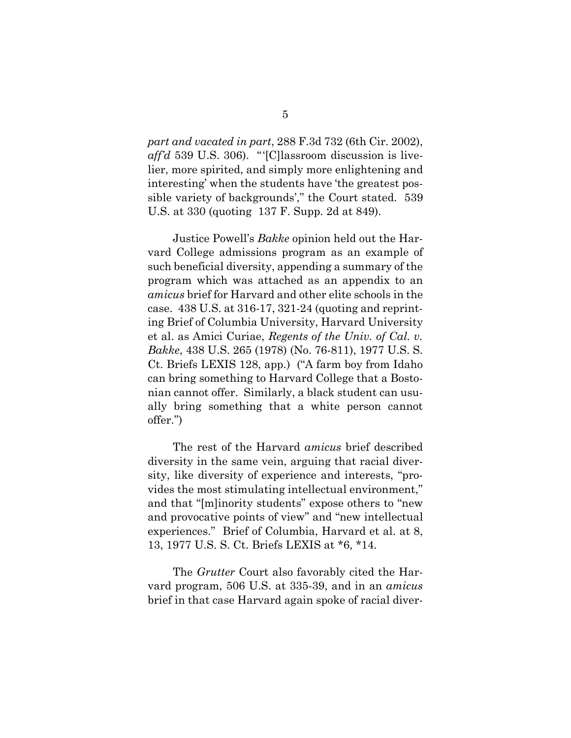*part and vacated in part*, 288 F.3d 732 (6th Cir. 2002), aff'd 539 U.S. 306). "'[C]lassroom discussion is livelier, more spirited, and simply more enlightening and interesting' when the students have 'the greatest possible variety of backgrounds'," the Court stated. 539 U.S. at 330 (quoting 137 F. Supp. 2d at 849).

Justice Powell's *Bakke* opinion held out the Harvard College admissions program as an example of such beneficial diversity, appending a summary of the program which was attached as an appendix to an *amicus* brief for Harvard and other elite schools in the case. 438 U.S. at 316-17, 321-24 (quoting and reprinting Brief of Columbia University, Harvard University et al. as Amici Curiae, *Regents of the Univ. of Cal. v. Bakke*, 438 U.S. 265 (1978) (No. 76-811), 1977 U.S. S. Ct. Briefs LEXIS 128, app.) ("A farm boy from Idaho can bring something to Harvard College that a Bostonian cannot offer. Similarly, a black student can usually bring something that a white person cannot offer.")

The rest of the Harvard *amicus* brief described diversity in the same vein, arguing that racial diversity, like diversity of experience and interests, "provides the most stimulating intellectual environment," and that "[m]inority students" expose others to "new and provocative points of view" and "new intellectual experiences." Brief of Columbia, Harvard et al. at 8, 13, 1977 U.S. S. Ct. Briefs LEXIS at \*6, \*14.

The *Grutter* Court also favorably cited the Harvard program, 506 U.S. at 335-39, and in an *amicus* brief in that case Harvard again spoke of racial diver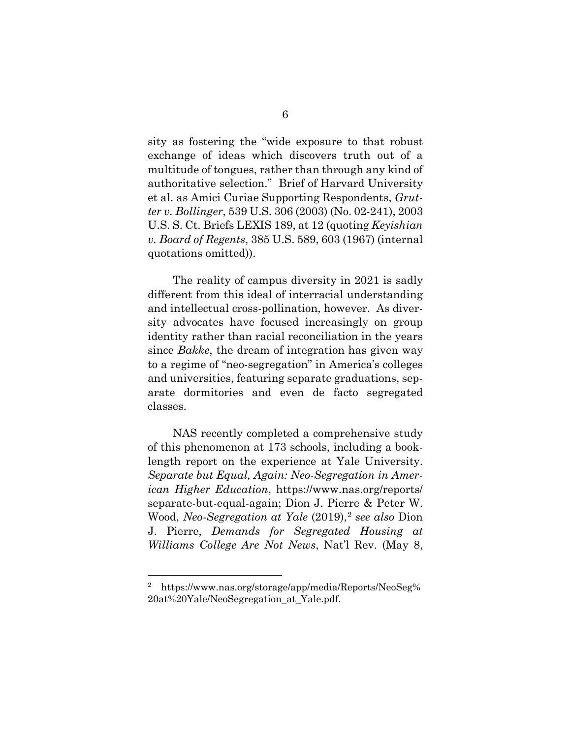sity as fostering the "wide exposure to that robust exchange of ideas which discovers truth out of a multitude of tongues, rather than through any kind of authoritative selection." Brief of Harvard University et al. as Amici Curiae Supporting Respondents, *Grutter v. Bollinger*, 539 U.S. 306 (2003) (No. 02-241), 2003 U.S. S. Ct. Briefs LEXIS 189, at 12 (quoting *Keyishian v. Board of Regents*, 385 U.S. 589, 603 (1967) (internal quotations omitted)).

The reality of campus diversity in 2021 is sadly different from this ideal of interracial understanding and intellectual cross-pollination, however. As diversity advocates have focused increasingly on group identity rather than racial reconciliation in the years since *Bakke*, the dream of integration has given way to a regime of "neo-segregation" in America's colleges and universities, featuring separate graduations, separate dormitories and even de facto segregated classes.

NAS recently completed a comprehensive study of this phenomenon at 173 schools, including a booklength report on the experience at Yale University. *Separate but Equal, Again: Neo-Segregation in American Higher Education*, https://www.nas.org/reports/ separate-but-equal-again; Dion J. Pierre & Peter W. Wood, *Neo-Segregation at Yale* (2019), [2](#page-12-0) *see also* Dion J. Pierre, *Demands for Segregated Housing at Williams College Are Not News*, Nat'l Rev. (May 8,

<span id="page-12-0"></span><sup>2</sup> https://www.nas.org/storage/app/media/Reports/NeoSeg% 20at%20Yale/NeoSegregation\_at\_Yale.pdf.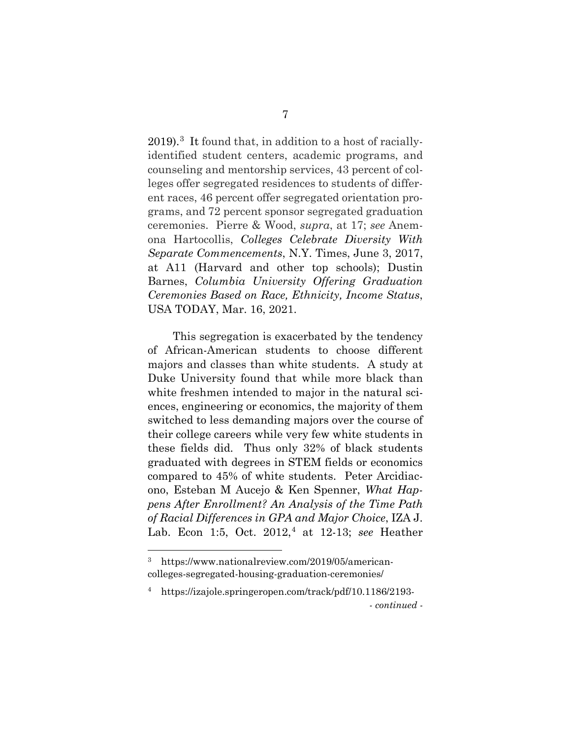2019). [3](#page-13-0) It found that, in addition to a host of raciallyidentified student centers, academic programs, and counseling and mentorship services, 43 percent of colleges offer segregated residences to students of different races, 46 percent offer segregated orientation programs, and 72 percent sponsor segregated graduation ceremonies. Pierre & Wood, *supra*, at 17; *see* Anemona Hartocollis, *Colleges Celebrate Diversity With Separate Commencements*, N.Y. Times, June 3, 2017, at A11 (Harvard and other top schools); Dustin Barnes, *Columbia University Offering Graduation Ceremonies Based on Race, Ethnicity, Income Status*, USA TODAY, Mar. 16, 2021.

This segregation is exacerbated by the tendency of African-American students to choose different majors and classes than white students. A study at Duke University found that while more black than white freshmen intended to major in the natural sciences, engineering or economics, the majority of them switched to less demanding majors over the course of their college careers while very few white students in these fields did. Thus only 32% of black students graduated with degrees in STEM fields or economics compared to 45% of white students. Peter Arcidiacono, Esteban M Aucejo & Ken Spenner, *What Happens After Enrollment? An Analysis of the Time Path of Racial Differences in GPA and Major Choice*, IZA J. Lab. Econ 1:5, Oct. 2012, [4](#page-13-1) at 12-13; *see* Heather

<span id="page-13-0"></span><sup>3</sup> https://www.nationalreview.com/2019/05/americancolleges-segregated-housing-graduation-ceremonies/

<span id="page-13-1"></span><sup>4</sup> https://izajole.springeropen.com/track/pdf/10.1186/2193- *- continued -*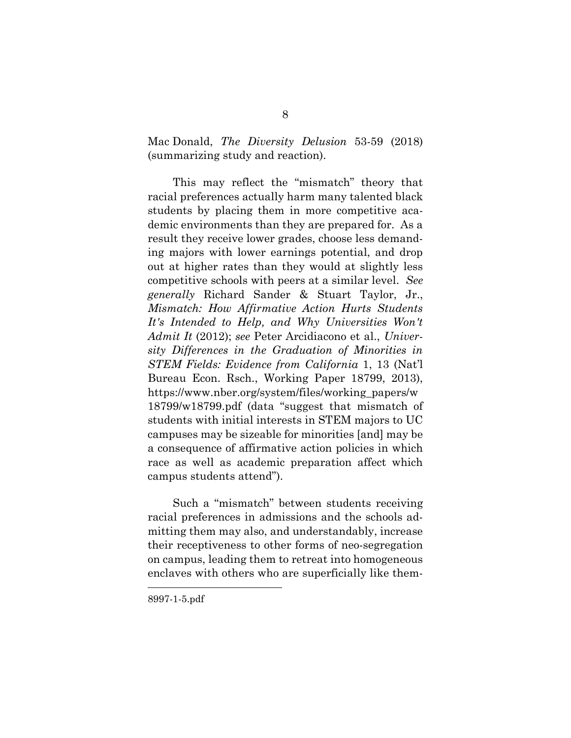Mac Donald, *The Diversity Delusion* 53-59 (2018) (summarizing study and reaction).

This may reflect the "mismatch" theory that racial preferences actually harm many talented black students by placing them in more competitive academic environments than they are prepared for. As a result they receive lower grades, choose less demanding majors with lower earnings potential, and drop out at higher rates than they would at slightly less competitive schools with peers at a similar level. *See generally* Richard Sander & Stuart Taylor, Jr., *Mismatch: How Affirmative Action Hurts Students It's Intended to Help, and Why Universities Won't Admit It* (2012); *see* Peter Arcidiacono et al., *University Differences in the Graduation of Minorities in STEM Fields: Evidence from California* 1, 13 (Nat'l Bureau Econ. Rsch., Working Paper 18799, 2013), https://www.nber.org/system/files/working\_papers/w 18799/w18799.pdf (data "suggest that mismatch of students with initial interests in STEM majors to UC campuses may be sizeable for minorities [and] may be a consequence of affirmative action policies in which race as well as academic preparation affect which campus students attend").

Such a "mismatch" between students receiving racial preferences in admissions and the schools admitting them may also, and understandably, increase their receptiveness to other forms of neo-segregation on campus, leading them to retreat into homogeneous enclaves with others who are superficially like them-

8997-1-5.pdf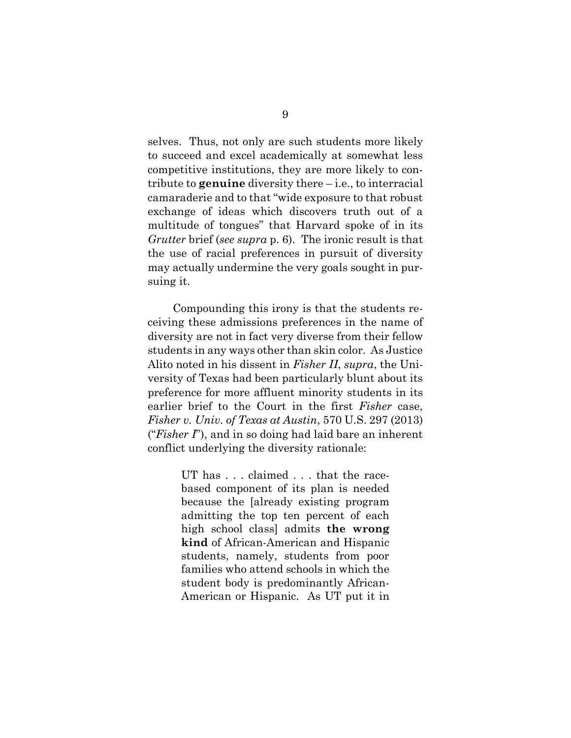selves. Thus, not only are such students more likely to succeed and excel academically at somewhat less competitive institutions, they are more likely to contribute to **genuine** diversity there – i.e., to interracial camaraderie and to that "wide exposure to that robust exchange of ideas which discovers truth out of a multitude of tongues" that Harvard spoke of in its *Grutter* brief (*see supra* p. 6). The ironic result is that the use of racial preferences in pursuit of diversity may actually undermine the very goals sought in pursuing it.

Compounding this irony is that the students receiving these admissions preferences in the name of diversity are not in fact very diverse from their fellow students in any ways other than skin color. As Justice Alito noted in his dissent in *Fisher II*, *supra*, the University of Texas had been particularly blunt about its preference for more affluent minority students in its earlier brief to the Court in the first *Fisher* case, *Fisher v. Univ. of Texas at Austin*, 570 U.S. 297 (2013) ("*Fisher I*"), and in so doing had laid bare an inherent conflict underlying the diversity rationale:

> UT has . . . claimed . . . that the racebased component of its plan is needed because the [already existing program admitting the top ten percent of each high school class] admits **the wrong kind** of African-American and Hispanic students, namely, students from poor families who attend schools in which the student body is predominantly African-American or Hispanic. As UT put it in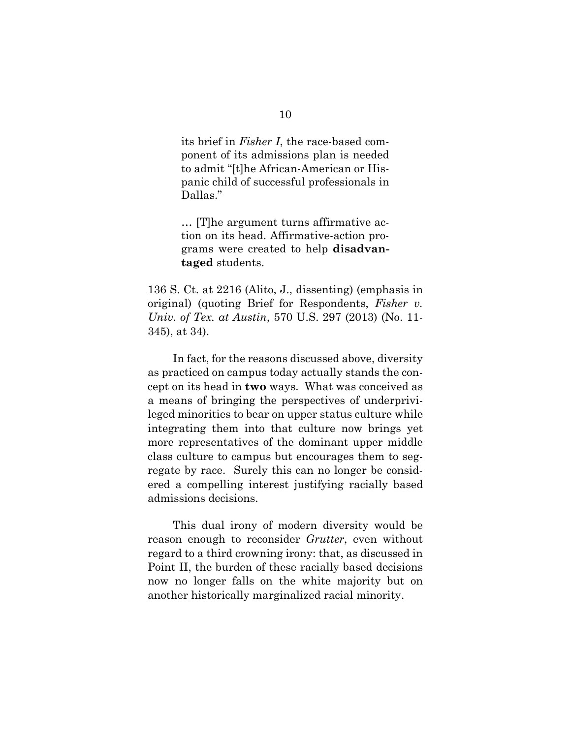its brief in *Fisher I*, the race-based component of its admissions plan is needed to admit "[t]he African-American or Hispanic child of successful professionals in Dallas."

… [T]he argument turns affirmative action on its head. Affirmative-action programs were created to help **disadvantaged** students.

136 S. Ct. at 2216 (Alito, J., dissenting) (emphasis in original) (quoting Brief for Respondents, *Fisher v. Univ. of Tex. at Austin*, 570 U.S. 297 (2013) (No. 11- 345), at 34).

In fact, for the reasons discussed above, diversity as practiced on campus today actually stands the concept on its head in **two** ways. What was conceived as a means of bringing the perspectives of underprivileged minorities to bear on upper status culture while integrating them into that culture now brings yet more representatives of the dominant upper middle class culture to campus but encourages them to segregate by race. Surely this can no longer be considered a compelling interest justifying racially based admissions decisions.

This dual irony of modern diversity would be reason enough to reconsider *Grutter*, even without regard to a third crowning irony: that, as discussed in Point II, the burden of these racially based decisions now no longer falls on the white majority but on another historically marginalized racial minority.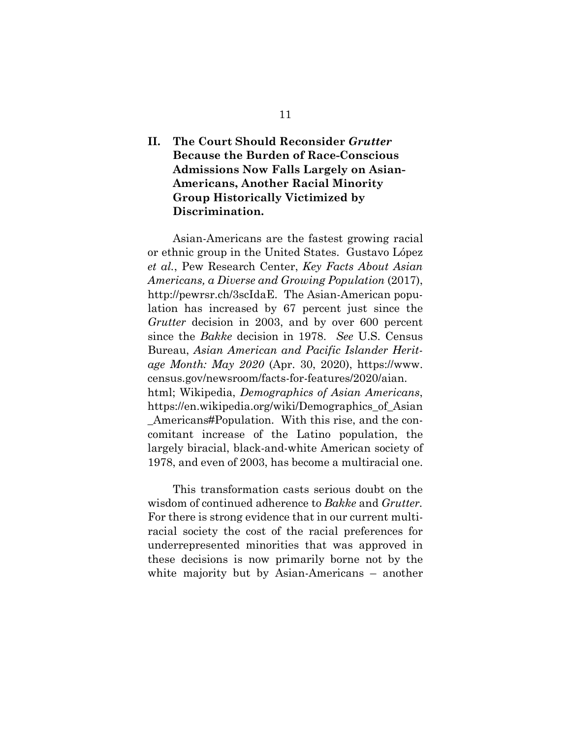## <span id="page-17-0"></span>**II. The Court Should Reconsider** *Grutter* **Because the Burden of Race-Conscious Admissions Now Falls Largely on Asian-Americans, Another Racial Minority Group Historically Victimized by Discrimination.**

Asian-Americans are the fastest growing racial or ethnic group in the United States. Gustavo López *et al.*, Pew Research Center, *Key Facts About Asian Americans, a Diverse and Growing Population* (2017), http://pewrsr.ch/3scIdaE. The Asian-American population has increased by 67 percent just since the *Grutter* decision in 2003, and by over 600 percent since the *Bakke* decision in 1978. *See* U.S. Census Bureau, *Asian American and Pacific Islander Heritage Month: May 2020* (Apr. 30, 2020), https://www. census.gov/newsroom/facts-for-features/2020/aian. html; Wikipedia, *Demographics of Asian Americans*, https://en.wikipedia.org/wiki/Demographics\_of\_Asian \_Americans#Population. With this rise, and the con-

comitant increase of the Latino population, the largely biracial, black-and-white American society of 1978, and even of 2003, has become a multiracial one.

This transformation casts serious doubt on the wisdom of continued adherence to *Bakke* and *Grutter.*  For there is strong evidence that in our current multiracial society the cost of the racial preferences for underrepresented minorities that was approved in these decisions is now primarily borne not by the white majority but by Asian-Americans – another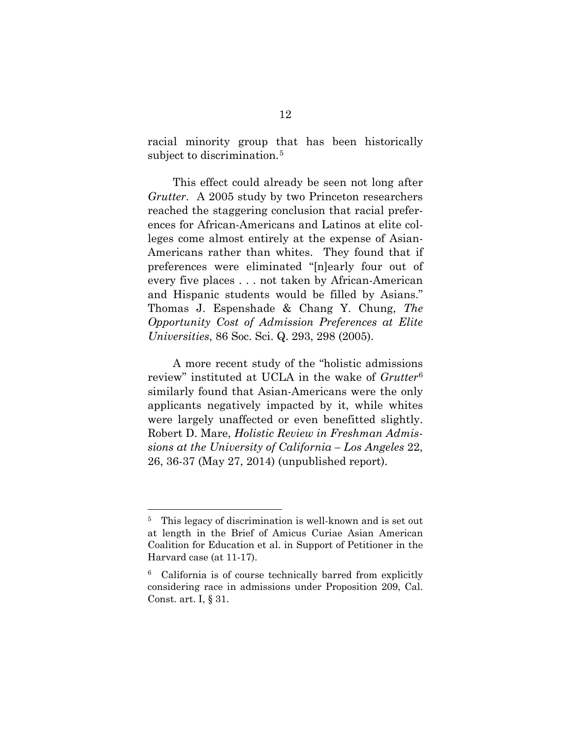racial minority group that has been historically subject to discrimination.<sup>[5](#page-18-0)</sup>

This effect could already be seen not long after *Grutter*. A 2005 study by two Princeton researchers reached the staggering conclusion that racial preferences for African-Americans and Latinos at elite colleges come almost entirely at the expense of Asian-Americans rather than whites. They found that if preferences were eliminated "[n]early four out of every five places . . . not taken by African-American and Hispanic students would be filled by Asians." Thomas J. Espenshade & Chang Y. Chung, *The Opportunity Cost of Admission Preferences at Elite Universities*, 86 Soc. Sci. Q. 293, 298 (2005).

A more recent study of the "holistic admissions review" instituted at UCLA in the wake of *Grutter*[6](#page-18-1) similarly found that Asian-Americans were the only applicants negatively impacted by it, while whites were largely unaffected or even benefitted slightly. Robert D. Mare, *Holistic Review in Freshman Admissions at the University of California – Los Angeles* 22, 26, 36-37 (May 27, 2014) (unpublished report).

<span id="page-18-0"></span><sup>&</sup>lt;sup>5</sup> This legacy of discrimination is well-known and is set out at length in the Brief of Amicus Curiae Asian American Coalition for Education et al. in Support of Petitioner in the Harvard case (at 11-17).

<span id="page-18-1"></span><sup>6</sup> California is of course technically barred from explicitly considering race in admissions under Proposition 209, Cal. Const. art. I, § 31.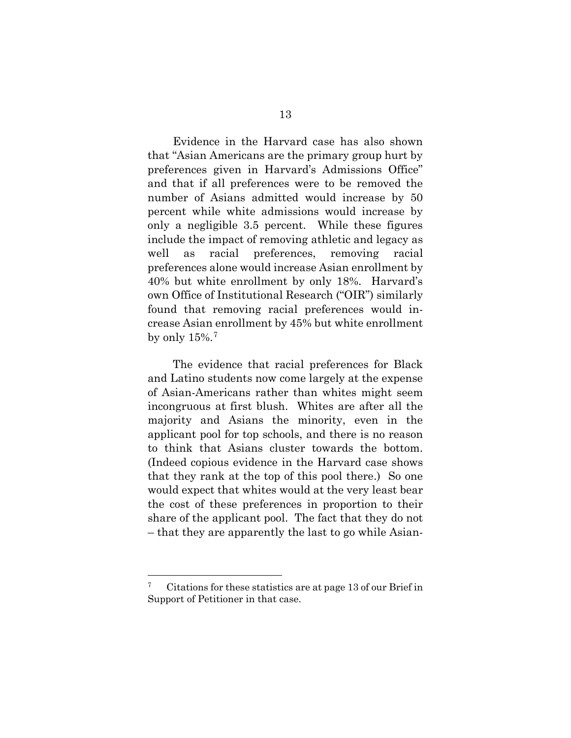Evidence in the Harvard case has also shown that "Asian Americans are the primary group hurt by preferences given in Harvard's Admissions Office" and that if all preferences were to be removed the number of Asians admitted would increase by 50 percent while white admissions would increase by only a negligible 3.5 percent. While these figures include the impact of removing athletic and legacy as well as racial preferences, removing racial preferences alone would increase Asian enrollment by 40% but white enrollment by only 18%. Harvard's own Office of Institutional Research ("OIR") similarly found that removing racial preferences would increase Asian enrollment by 45% but white enrollment by only  $15\%$ .<sup>[7](#page-19-0)</sup>

The evidence that racial preferences for Black and Latino students now come largely at the expense of Asian-Americans rather than whites might seem incongruous at first blush. Whites are after all the majority and Asians the minority, even in the applicant pool for top schools, and there is no reason to think that Asians cluster towards the bottom. (Indeed copious evidence in the Harvard case shows that they rank at the top of this pool there.) So one would expect that whites would at the very least bear the cost of these preferences in proportion to their share of the applicant pool. The fact that they do not – that they are apparently the last to go while Asian-

<span id="page-19-0"></span>Citations for these statistics are at page 13 of our Brief in Support of Petitioner in that case.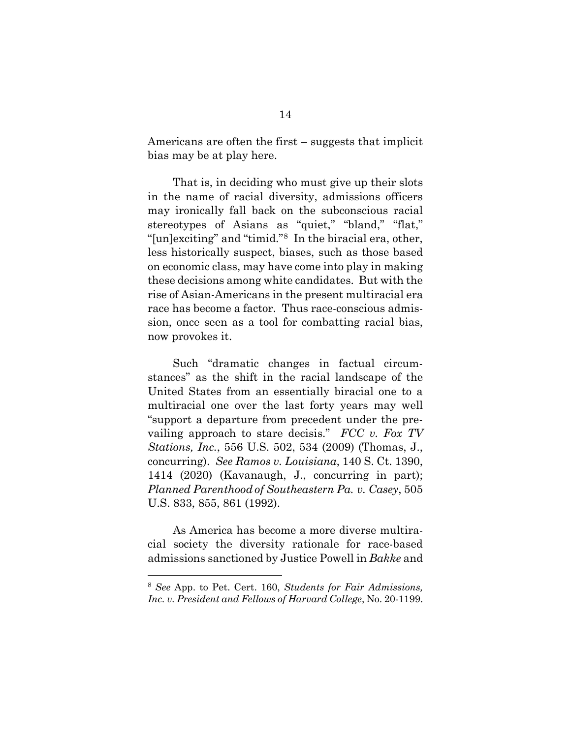Americans are often the first – suggests that implicit bias may be at play here.

That is, in deciding who must give up their slots in the name of racial diversity, admissions officers may ironically fall back on the subconscious racial stereotypes of Asians as "quiet," "bland," "flat," "[un]exciting" and "timid."[8](#page-20-0) In the biracial era, other, less historically suspect, biases, such as those based on economic class, may have come into play in making these decisions among white candidates. But with the rise of Asian-Americans in the present multiracial era race has become a factor. Thus race-conscious admission, once seen as a tool for combatting racial bias, now provokes it.

Such "dramatic changes in factual circumstances" as the shift in the racial landscape of the United States from an essentially biracial one to a multiracial one over the last forty years may well "support a departure from precedent under the prevailing approach to stare decisis." *FCC v. Fox TV Stations, Inc.*, 556 U.S. 502, 534 (2009) (Thomas, J., concurring). *See Ramos v. Louisiana*, 140 S. Ct. 1390, 1414 (2020) (Kavanaugh, J., concurring in part); *Planned Parenthood of Southeastern Pa. v. Casey*, 505 U.S. 833, 855, 861 (1992).

As America has become a more diverse multiracial society the diversity rationale for race-based admissions sanctioned by Justice Powell in *Bakke* and

<span id="page-20-0"></span><sup>8</sup> *See* App. to Pet. Cert. 160, *Students for Fair Admissions, Inc. v. President and Fellows of Harvard College*, No. 20-1199.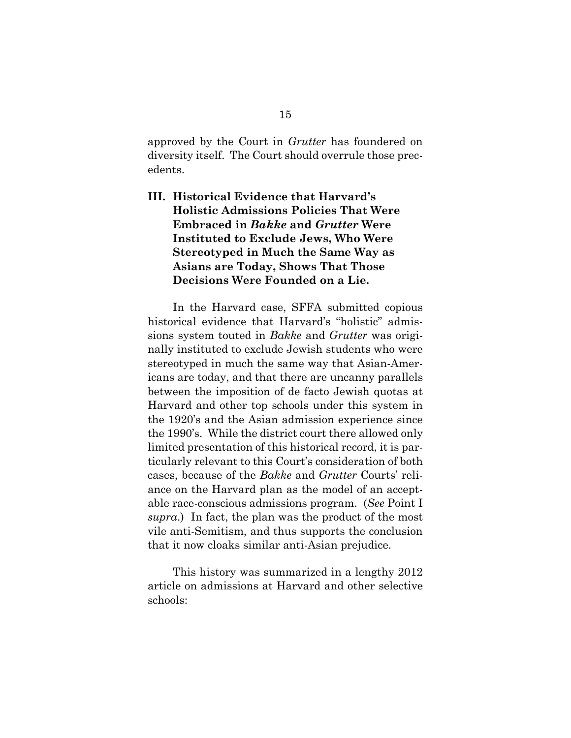approved by the Court in *Grutter* has foundered on diversity itself. The Court should overrule those precedents.

## <span id="page-21-0"></span>**III. Historical Evidence that Harvard's Holistic Admissions Policies That Were Embraced in** *Bakke* **and** *Grutter* **Were Instituted to Exclude Jews, Who Were Stereotyped in Much the Same Way as Asians are Today, Shows That Those Decisions Were Founded on a Lie.**

In the Harvard case, SFFA submitted copious historical evidence that Harvard's "holistic" admissions system touted in *Bakke* and *Grutter* was originally instituted to exclude Jewish students who were stereotyped in much the same way that Asian-Americans are today, and that there are uncanny parallels between the imposition of de facto Jewish quotas at Harvard and other top schools under this system in the 1920's and the Asian admission experience since the 1990's. While the district court there allowed only limited presentation of this historical record, it is particularly relevant to this Court's consideration of both cases, because of the *Bakke* and *Grutter* Courts' reliance on the Harvard plan as the model of an acceptable race-conscious admissions program. (*See* Point I *supra*.) In fact, the plan was the product of the most vile anti-Semitism, and thus supports the conclusion that it now cloaks similar anti-Asian prejudice.

This history was summarized in a lengthy 2012 article on admissions at Harvard and other selective schools: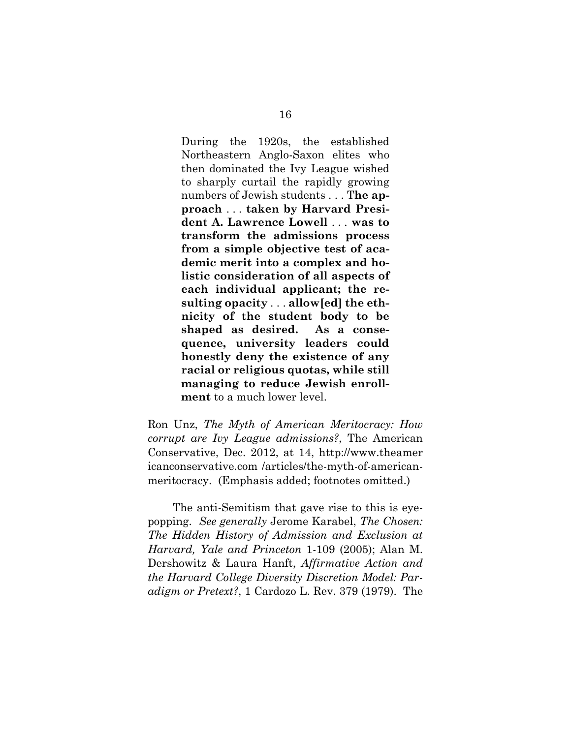During the 1920s, the established Northeastern Anglo-Saxon elites who then dominated the Ivy League wished to sharply curtail the rapidly growing numbers of Jewish students . . . T**he approach** . . . **taken by Harvard President A. Lawrence Lowell** . . . **was to transform the admissions process from a simple objective test of academic merit into a complex and holistic consideration of all aspects of each individual applicant; the resulting opacity** . . . **allow[ed] the ethnicity of the student body to be shaped as desired. As a consequence, university leaders could honestly deny the existence of any racial or religious quotas, while still managing to reduce Jewish enrollment** to a much lower level.

Ron Unz, *The Myth of American Meritocracy: How corrupt are Ivy League admissions?*, The American Conservative, Dec. 2012, at 14, http://www.theamer icanconservative.com /articles/the-myth-of-americanmeritocracy. (Emphasis added; footnotes omitted.)

The anti-Semitism that gave rise to this is eyepopping. *See generally* Jerome Karabel, *The Chosen: The Hidden History of Admission and Exclusion at Harvard, Yale and Princeton* 1-109 (2005); Alan M. Dershowitz & Laura Hanft, *Affirmative Action and the Harvard College Diversity Discretion Model: Paradigm or Pretext?*, 1 Cardozo L. Rev. 379 (1979). The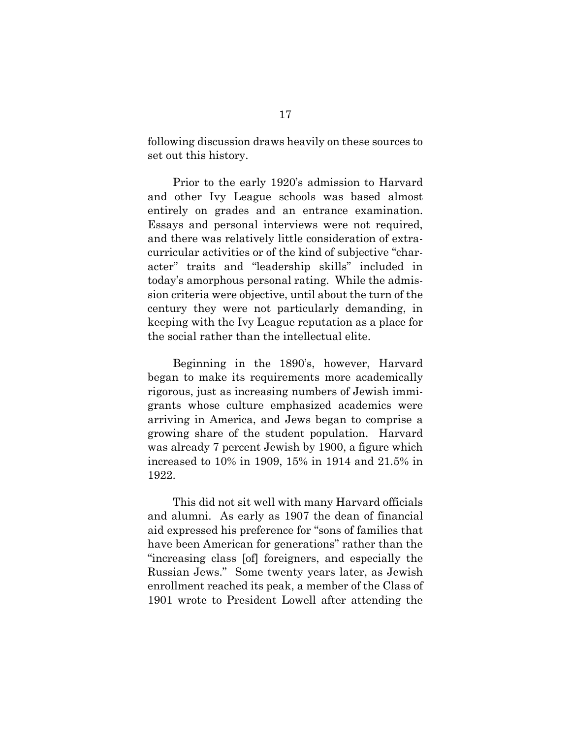following discussion draws heavily on these sources to set out this history.

Prior to the early 1920's admission to Harvard and other Ivy League schools was based almost entirely on grades and an entrance examination. Essays and personal interviews were not required, and there was relatively little consideration of extracurricular activities or of the kind of subjective "character" traits and "leadership skills" included in today's amorphous personal rating. While the admission criteria were objective, until about the turn of the century they were not particularly demanding, in keeping with the Ivy League reputation as a place for the social rather than the intellectual elite.

Beginning in the 1890's, however, Harvard began to make its requirements more academically rigorous, just as increasing numbers of Jewish immigrants whose culture emphasized academics were arriving in America, and Jews began to comprise a growing share of the student population. Harvard was already 7 percent Jewish by 1900, a figure which increased to 10% in 1909, 15% in 1914 and 21.5% in 1922.

This did not sit well with many Harvard officials and alumni. As early as 1907 the dean of financial aid expressed his preference for "sons of families that have been American for generations" rather than the "increasing class [of] foreigners, and especially the Russian Jews." Some twenty years later, as Jewish enrollment reached its peak, a member of the Class of 1901 wrote to President Lowell after attending the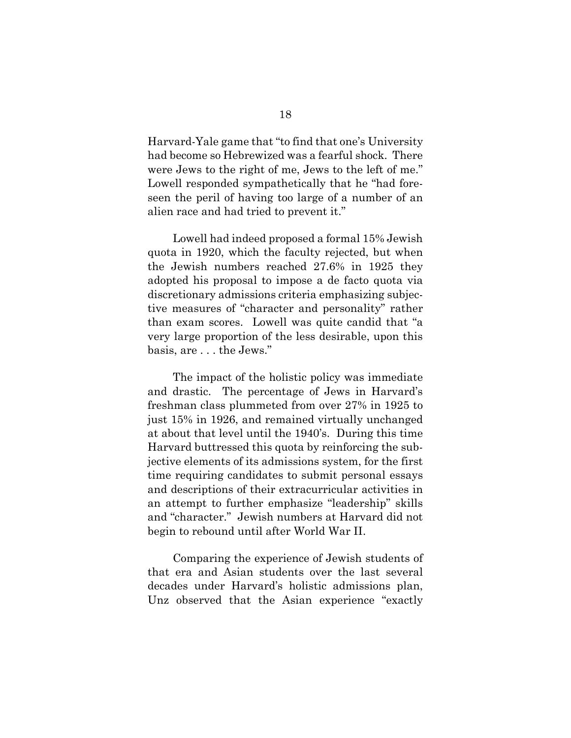Harvard-Yale game that "to find that one's University had become so Hebrewized was a fearful shock. There were Jews to the right of me, Jews to the left of me." Lowell responded sympathetically that he "had foreseen the peril of having too large of a number of an alien race and had tried to prevent it."

Lowell had indeed proposed a formal 15% Jewish quota in 1920, which the faculty rejected, but when the Jewish numbers reached 27.6% in 1925 they adopted his proposal to impose a de facto quota via discretionary admissions criteria emphasizing subjective measures of "character and personality" rather than exam scores. Lowell was quite candid that "a very large proportion of the less desirable, upon this basis, are . . . the Jews."

The impact of the holistic policy was immediate and drastic. The percentage of Jews in Harvard's freshman class plummeted from over 27% in 1925 to just 15% in 1926, and remained virtually unchanged at about that level until the 1940's. During this time Harvard buttressed this quota by reinforcing the subjective elements of its admissions system, for the first time requiring candidates to submit personal essays and descriptions of their extracurricular activities in an attempt to further emphasize "leadership" skills and "character." Jewish numbers at Harvard did not begin to rebound until after World War II.

Comparing the experience of Jewish students of that era and Asian students over the last several decades under Harvard's holistic admissions plan, Unz observed that the Asian experience "exactly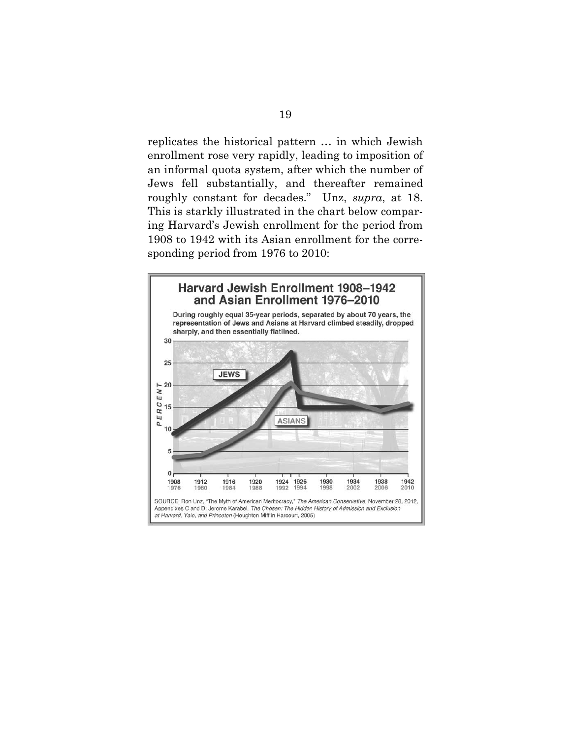replicates the historical pattern … in which Jewish enrollment rose very rapidly, leading to imposition of an informal quota system, after which the number of Jews fell substantially, and thereafter remained roughly constant for decades." Unz, *supra*, at 18. This is starkly illustrated in the chart below comparing Harvard's Jewish enrollment for the period from 1908 to 1942 with its Asian enrollment for the corresponding period from 1976 to 2010:

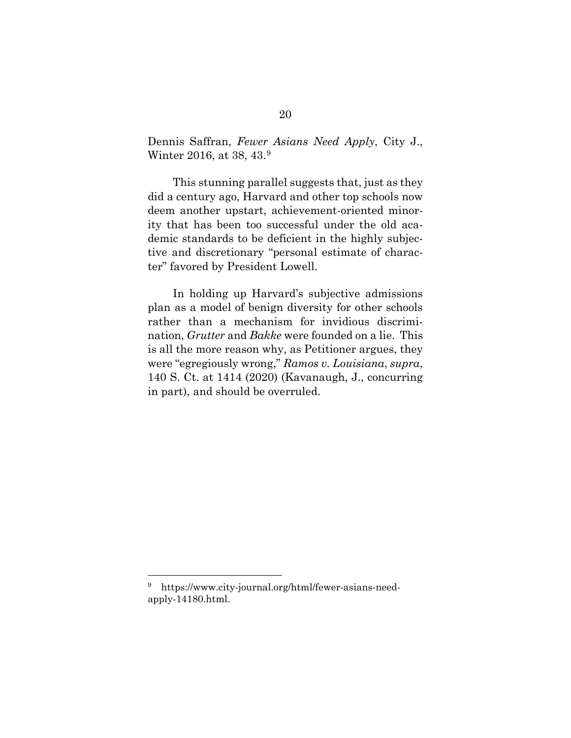Dennis Saffran, *Fewer Asians Need Apply*, City J., Winter 2016, at 38, 43.<sup>[9](#page-26-1)</sup>

This stunning parallel suggests that, just as they did a century ago, Harvard and other top schools now deem another upstart, achievement-oriented minority that has been too successful under the old academic standards to be deficient in the highly subjective and discretionary "personal estimate of character" favored by President Lowell.

<span id="page-26-0"></span>In holding up Harvard's subjective admissions plan as a model of benign diversity for other schools rather than a mechanism for invidious discrimination, *Grutter* and *Bakke* were founded on a lie. This is all the more reason why, as Petitioner argues, they were "egregiously wrong," *Ramos v. Louisiana*, *supra*, 140 S. Ct. at 1414 (2020) (Kavanaugh, J., concurring in part), and should be overruled.

<span id="page-26-1"></span><sup>9</sup> https://www.city-journal.org/html/fewer-asians-needapply-14180.html.